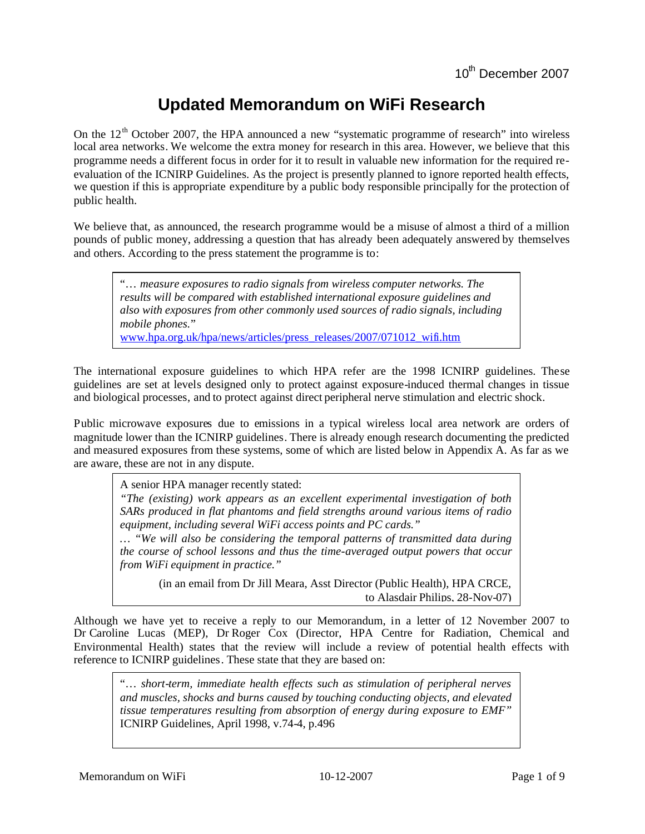# **Updated Memorandum on WiFi Research**

On the  $12<sup>th</sup>$  October 2007, the HPA announced a new "systematic programme of research" into wireless local area networks. We welcome the extra money for research in this area. However, we believe that this programme needs a different focus in order for it to result in valuable new information for the required reevaluation of the ICNIRP Guidelines. As the project is presently planned to ignore reported health effects, we question if this is appropriate expenditure by a public body responsible principally for the protection of public health.

We believe that, as announced, the research programme would be a misuse of almost a third of a million pounds of public money, addressing a question that has already been adequately answered by themselves and others. According to the press statement the programme is to:

"… *measure exposures to radio signals from wireless computer networks. The results will be compared with established international exposure guidelines and also with exposures from other commonly used sources of radio signals, including mobile phones.*"

www.hpa.org.uk/hpa/news/articles/press\_releases/2007/071012\_wifi.htm

The international exposure guidelines to which HPA refer are the 1998 ICNIRP guidelines. These guidelines are set at levels designed only to protect against exposure-induced thermal changes in tissue and biological processes, and to protect against direct peripheral nerve stimulation and electric shock.

Public microwave exposures due to emissions in a typical wireless local area network are orders of magnitude lower than the ICNIRP guidelines. There is already enough research documenting the predicted and measured exposures from these systems, some of which are listed below in Appendix A. As far as we are aware, these are not in any dispute.

A senior HPA manager recently stated:

*"The (existing) work appears as an excellent experimental investigation of both SARs produced in flat phantoms and field strengths around various items of radio equipment, including several WiFi access points and PC cards."*

*… "We will also be considering the temporal patterns of transmitted data during the course of school lessons and thus the time-averaged output powers that occur from WiFi equipment in practice."*

(in an email from Dr Jill Meara, Asst Director (Public Health), HPA CRCE, to Alasdair Philips, 28-Nov-07)

Although we have yet to receive a reply to our Memorandum, in a letter of 12 November 2007 to Dr Caroline Lucas (MEP), Dr Roger Cox (Director, HPA Centre for Radiation, Chemical and Environmental Health) states that the review will include a review of potential health effects with reference to ICNIRP guidelines. These state that they are based on:

"… *short-term, immediate health effects such as stimulation of peripheral nerves and muscles, shocks and burns caused by touching conducting objects, and elevated tissue temperatures resulting from absorption of energy during exposure to EMF"* ICNIRP Guidelines, April 1998, v.74-4, p.496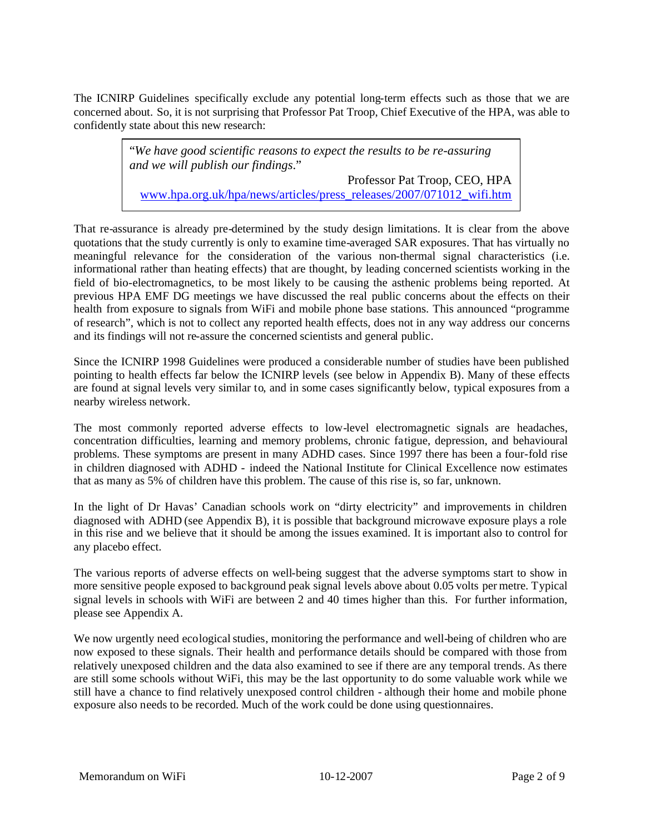The ICNIRP Guidelines specifically exclude any potential long-term effects such as those that we are concerned about. So, it is not surprising that Professor Pat Troop, Chief Executive of the HPA, was able to confidently state about this new research:

> "*We have good scientific reasons to expect the results to be re-assuring and we will publish our findings*." Professor Pat Troop, CEO, HPA [www.hpa.org.uk/hpa/news/articles/press\\_releases/2007/071012\\_wifi.htm](http://www.hpa.org.uk/hpa/news/articles/press_releases/2007/071012_wifi.htm)

That re-assurance is already pre-determined by the study design limitations. It is clear from the above quotations that the study currently is only to examine time-averaged SAR exposures. That has virtually no meaningful relevance for the consideration of the various non-thermal signal characteristics (i.e. informational rather than heating effects) that are thought, by leading concerned scientists working in the field of bio-electromagnetics, to be most likely to be causing the asthenic problems being reported. At previous HPA EMF DG meetings we have discussed the real public concerns about the effects on their health from exposure to signals from WiFi and mobile phone base stations. This announced "programme of research", which is not to collect any reported health effects, does not in any way address our concerns and its findings will not re-assure the concerned scientists and general public.

Since the ICNIRP 1998 Guidelines were produced a considerable number of studies have been published pointing to health effects far below the ICNIRP levels (see below in Appendix B). Many of these effects are found at signal levels very similar to, and in some cases significantly below, typical exposures from a nearby wireless network.

The most commonly reported adverse effects to low-level electromagnetic signals are headaches, concentration difficulties, learning and memory problems, chronic fatigue, depression, and behavioural problems. These symptoms are present in many ADHD cases. Since 1997 there has been a four-fold rise in children diagnosed with ADHD - indeed the National Institute for Clinical Excellence now estimates that as many as 5% of children have this problem. The cause of this rise is, so far, unknown.

In the light of Dr Havas' Canadian schools work on "dirty electricity" and improvements in children diagnosed with ADHD (see Appendix B), it is possible that background microwave exposure plays a role in this rise and we believe that it should be among the issues examined. It is important also to control for any placebo effect.

The various reports of adverse effects on well-being suggest that the adverse symptoms start to show in more sensitive people exposed to background peak signal levels above about 0.05 volts per metre. Typical signal levels in schools with WiFi are between 2 and 40 times higher than this. For further information, please see Appendix A.

We now urgently need ecological studies, monitoring the performance and well-being of children who are now exposed to these signals. Their health and performance details should be compared with those from relatively unexposed children and the data also examined to see if there are any temporal trends. As there are still some schools without WiFi, this may be the last opportunity to do some valuable work while we still have a chance to find relatively unexposed control children - although their home and mobile phone exposure also needs to be recorded. Much of the work could be done using questionnaires.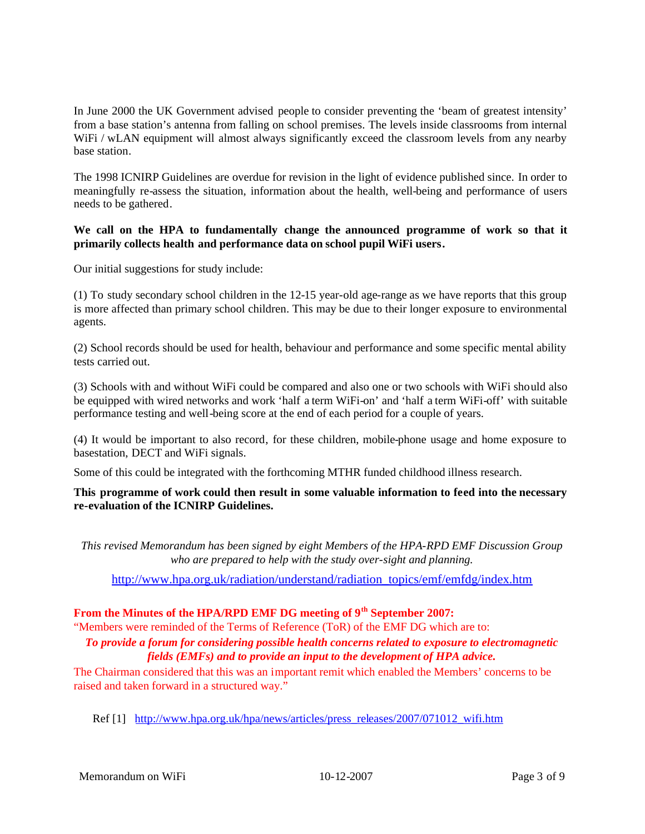In June 2000 the UK Government advised people to consider preventing the 'beam of greatest intensity' from a base station's antenna from falling on school premises. The levels inside classrooms from internal WiFi / wLAN equipment will almost always significantly exceed the classroom levels from any nearby base station.

The 1998 ICNIRP Guidelines are overdue for revision in the light of evidence published since. In order to meaningfully re-assess the situation, information about the health, well-being and performance of users needs to be gathered.

### **We call on the HPA to fundamentally change the announced programme of work so that it primarily collects health and performance data on school pupil WiFi users.**

Our initial suggestions for study include:

(1) To study secondary school children in the 12-15 year-old age-range as we have reports that this group is more affected than primary school children. This may be due to their longer exposure to environmental agents.

(2) School records should be used for health, behaviour and performance and some specific mental ability tests carried out.

(3) Schools with and without WiFi could be compared and also one or two schools with WiFi should also be equipped with wired networks and work 'half a term WiFi-on' and 'half a term WiFi-off' with suitable performance testing and well-being score at the end of each period for a couple of years.

(4) It would be important to also record, for these children, mobile-phone usage and home exposure to basestation, DECT and WiFi signals.

Some of this could be integrated with the forthcoming MTHR funded childhood illness research.

### **This programme of work could then result in some valuable information to feed into the necessary re-evaluation of the ICNIRP Guidelines.**

*This revised Memorandum has been signed by eight Members of the HPA-RPD EMF Discussion Group who are prepared to help with the study over-sight and planning.*

[http://www.hpa.org.uk/radiation/understand/radiation\\_topics/emf/emfdg/index.htm](http://www.hpa.org.uk/radiation/understand/radiation_topics/emf/emfdg/index.htm)

# From the Minutes of the HPA/RPD EMF DG meeting of 9<sup>th</sup> September 2007:

"Members were reminded of the Terms of Reference (ToR) of the EMF DG which are to:

### *To provide a forum for considering possible health concerns related to exposure to electromagnetic fields (EMFs) and to provide an input to the development of HPA advice.*

The Chairman considered that this was an important remit which enabled the Members' concerns to be raised and taken forward in a structured way."

Ref [1] [http://www.hpa.org.uk/hpa/news/articles/press\\_releases/2007/071012\\_wifi.htm](http://www.hpa.org.uk/hpa/news/articles/press_releases/2007/071012_wifi.htm)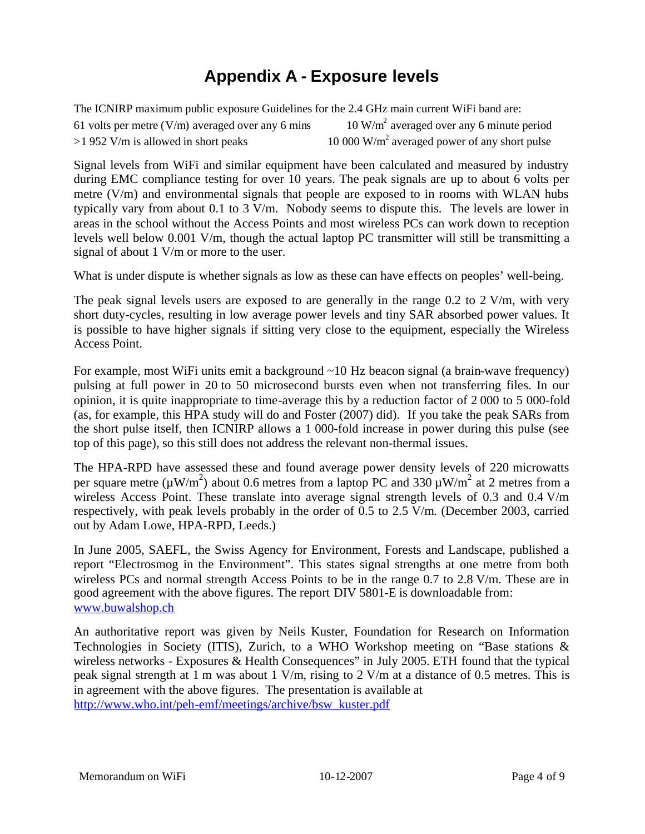# **Appendix A - Exposure levels**

The ICNIRP maximum public exposure Guidelines for the 2.4 GHz main current WiFi band are: 61 volts per metre ( $V/m$ ) averaged over any 6 mins  $10 \text{ W/m}^2$  averaged over any 6 minute period  $>1$  952 V/m is allowed in short peaks 10 000  $W/m^2$  averaged power of any short pulse

Signal levels from WiFi and similar equipment have been calculated and measured by industry during EMC compliance testing for over 10 years. The peak signals are up to about 6 volts per metre (V/m) and environmental signals that people are exposed to in rooms with WLAN hubs typically vary from about 0.1 to 3 V/m. Nobody seems to dispute this. The levels are lower in areas in the school without the Access Points and most wireless PCs can work down to reception levels well below 0.001 V/m, though the actual laptop PC transmitter will still be transmitting a signal of about 1 V/m or more to the user.

What is under dispute is whether signals as low as these can have effects on peoples' well-being.

The peak signal levels users are exposed to are generally in the range 0.2 to 2 V/m, with very short duty-cycles, resulting in low average power levels and tiny SAR absorbed power values. It is possible to have higher signals if sitting very close to the equipment, especially the Wireless Access Point.

For example, most WiFi units emit a background ~10 Hz beacon signal (a brain-wave frequency) pulsing at full power in 20 to 50 microsecond bursts even when not transferring files. In our opinion, it is quite inappropriate to time-average this by a reduction factor of 2 000 to 5 000-fold (as, for example, this HPA study will do and Foster (2007) did). If you take the peak SARs from the short pulse itself, then ICNIRP allows a 1 000-fold increase in power during this pulse (see top of this page), so this still does not address the relevant non-thermal issues.

The HPA-RPD have assessed these and found average power density levels of 220 microwatts per square metre ( $\mu$ W/m<sup>2</sup>) about 0.6 metres from a laptop PC and 330  $\mu$ W/m<sup>2</sup> at 2 metres from a wireless Access Point. These translate into average signal strength levels of 0.3 and 0.4 V/m respectively, with peak levels probably in the order of 0.5 to 2.5 V/m. (December 2003, carried out by Adam Lowe, HPA-RPD, Leeds.)

In June 2005, SAEFL, the Swiss Agency for Environment, Forests and Landscape, published a report "Electrosmog in the Environment". This states signal strengths at one metre from both wireless PCs and normal strength Access Points to be in the range 0.7 to 2.8 V/m. These are in good agreement with the above figures. The report DIV 5801-E is downloadable from: [www.buwalshop.ch](http://www.buwalshop.ch/)

An authoritative report was given by Neils Kuster, Foundation for Research on Information Technologies in Society (ITIS), Zurich, to a WHO Workshop meeting on "Base stations & wireless networks - Exposures & Health Consequences" in July 2005. ETH found that the typical peak signal strength at 1 m was about 1 V/m, rising to 2 V/m at a distance of 0.5 metres. This is in agreement with the above figures. The presentation is available at [http://www.who.int/peh-emf/meetings/archive/bsw\\_kuster.pdf](http://www.who.int/peh-emf/meetings/archive/bsw_kuster.pdf)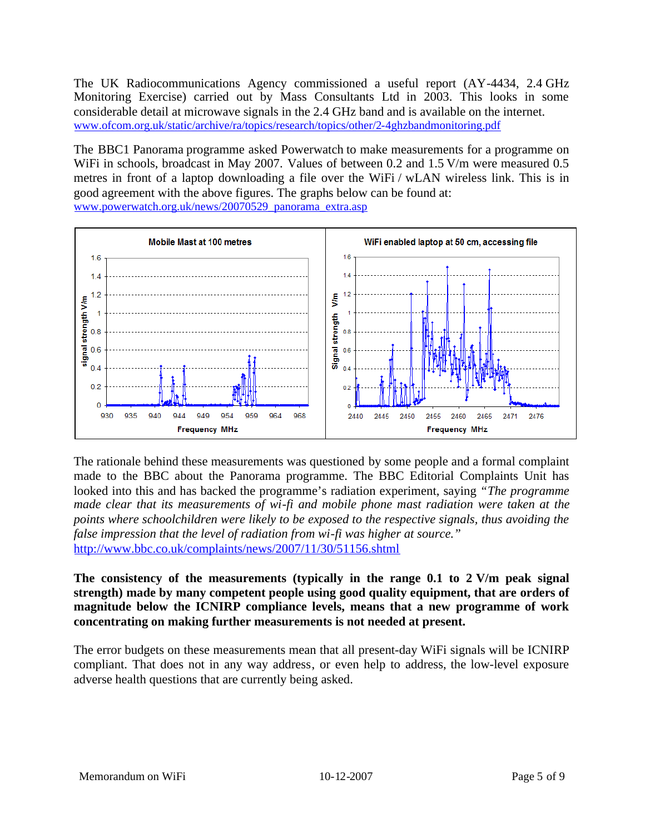The UK Radiocommunications Agency commissioned a useful report (AY-4434, 2.4 GHz Monitoring Exercise) carried out by Mass Consultants Ltd in 2003. This looks in some considerable detail at microwave signals in the 2.4 GHz band and is available on the internet. [www.ofcom.org.uk/static/archive/ra/topics/research/topics/other/2-4ghzbandmonitoring.pdf](http://www.ofcom.org.uk/static/archive/ra/topics/research/topics/other/2-4ghzbandmonitoring.pdf)

The BBC1 Panorama programme asked Powerwatch to make measurements for a programme on WiFi in schools, broadcast in May 2007. Values of between 0.2 and 1.5 V/m were measured 0.5 metres in front of a laptop downloading a file over the WiFi / wLAN wireless link. This is in good agreement with the above figures. The graphs below can be found at: [www.powerwatch.org.uk/news/20070529\\_panorama\\_extra.asp](http://www.powerwatch.org.uk/news/20070529_panorama_extra.asp)



The rationale behind these measurements was questioned by some people and a formal complaint made to the BBC about the Panorama programme. The BBC Editorial Complaints Unit has looked into this and has backed the programme's radiation experiment, saying *"The programme made clear that its measurements of wi-fi and mobile phone mast radiation were taken at the points where schoolchildren were likely to be exposed to the respective signals, thus avoiding the false impression that the level of radiation from wi-fi was higher at source."* <http://www.bbc.co.uk/complaints/news/2007/11/30/51156.shtml>

**The consistency of the measurements (typically in the range 0.1 to 2 V/m peak signal strength) made by many competent people using good quality equipment, that are orders of magnitude below the ICNIRP compliance levels, means that a new programme of work concentrating on making further measurements is not needed at present.**

The error budgets on these measurements mean that all present-day WiFi signals will be ICNIRP compliant. That does not in any way address, or even help to address, the low-level exposure adverse health questions that are currently being asked.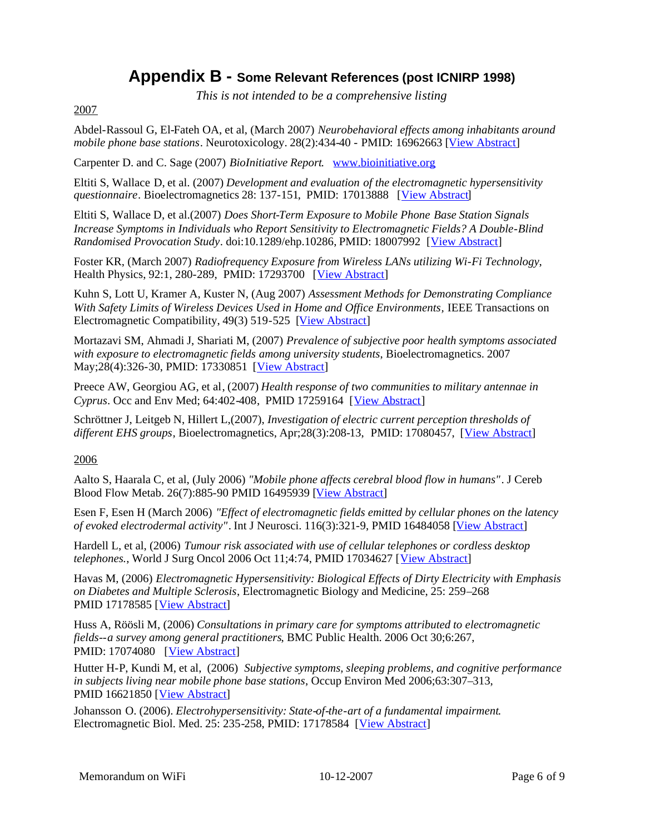# **Appendix B - Some Relevant References (post ICNIRP 1998)**

*This is not intended to be a comprehensive listing*

### 2007

Abdel-Rassoul G, El-Fateh OA, et al, (March 2007) *Neurobehavioral effects among inhabitants around mobilephone base stations*. Neurotoxicology. 28(2):434-40 - PMID: 16962663 [[View Abstract\]](http://www.ncbi.nlm.nih.gov/sites/entrez?cmd=Retrieve&db=pubmed&dopt=Abstract&list_uids=16962663)

Carpenter D. and C. Sage (2007) *BioInitiative Report*. [www.bioinitiative.org](http://www.bioinitiative.org/)

Eltiti S, Wallace D, et al. (2007) *Development and evaluation of the electromagnetic hypersensitivity questionnaire*. Bioelectromagnetics 28: 137-151, PMID: 17013888 [[View Abstract\]](http://www.ncbi.nlm.nih.gov/sites/entrez?cmd=Retrieve&db=pubmed&dopt=Abstract&list_uids=17013888)

Eltiti S, Wallace D, et al.(2007) *Does Short-Term Exposure to Mobile Phone Base Station Signals Increase Symptoms in Individuals who Report Sensitivity to Electromagnetic Fields? A Double-Blind Randomised Provocation Study*. doi:10.1289/ehp.10286, PMID: 18007992 [[View Abstract\]](http://www.ncbi.nlm.nih.gov/sites/entrez?cmd=Retrieve&db=pubmed&dopt=Abstract&list_uids=18007992)

Foster KR, (March 2007) *Radiofrequency Exposure from Wireless LANs utilizing Wi-Fi Technology*, Health Physics, 92:1, 280-289, PMID: 17293700 [[View Abstract\]](http://www.health-physics.com/pt/re/healthphys/abstract.00004032-200703000-00010.htm;jsessionid=HSTdVpJb0cl4vJHxJST43m6YJ7tspkPn84JCtPvRv24cn9HBwDLy!-1601909834!181195629!8091!-1)

Kuhn S, Lott U, Kramer A, Kuster N, (Aug 2007) *Assessment Methods for Demonstrating Compliance With Safety Limits of Wireless Devices Used in Home and Office Environments,* IEEE Transactions on Electromagnetic Compatibility, 49(3) 519-525 [[View Abstract\]](http://ieeexplore.ieee.org/xpl/freeabs_all.jsp?isnumber=4294112&arnumber=4294128&count=39&index=9)

Mortazavi SM, Ahmadi J, Shariati M, (2007) *Prevalence of subjective poor health symptoms associated with exposure to electromagnetic fields among university students*, Bioelectromagnetics. 2007 May;28(4):326-30, PMID: 17330851 [[View Abstract\]](http://www.ncbi.nlm.nih.gov/sites/entrez?cmd=Retrieve&db=pubmed&dopt=Abstract&list_uids=17330851)

Preece AW, Georgiou AG, et al, (2007) *Health response of two communities to military antennae in Cyprus*. Occ and Env Med; 64:402-408, PMID 17259164[[View Abstract\]](http://www.ncbi.nlm.nih.gov/entrez/query.fcgi?db=pubmed&cmd=Retrieve&dopt=Abstract&list_uids=17259164)

Schröttner J, Leitgeb N, Hillert L,(2007), *Investigation of electric current perception thresholds of different EHS groups*, Bioelectromagnetics, Apr;28(3):208-13, PMID: 17080457, [[View Abstract\]](http://www.ncbi.nlm.nih.gov/sites/entrez?cmd=Retrieve&db=pubmed&dopt=Abstract&list_uids=17080457)

2006

Aalto S, Haarala C, et al, (July 2006) *"Mobile phone affects cerebral blood flow in humans"*. J Cereb Blood Flow Metab. 26(7):885-90 PMID 16495939[[View Abstract\]](http://www.ncbi.nlm.nih.gov/entrez/query.fcgi?db=pubmed&cmd=Retrieve&dopt=Abstract&list_uids=16495939)

Esen F, Esen H (March 2006) *"Effect of electromagnetic fields emitted by cellular phones on the latency of evoked electrodermal activity"*. Int J Neurosci. 116(3):321-9, PMID 16484058[[View Abstract\]](http://www.ncbi.nlm.nih.gov/entrez/query.fcgi?db=pubmed&cmd=Retrieve&dopt=Abstract&list_uids=16484058)

Hardell L, et al, (2006) *Tumour risk associated with use of cellular telephones or cordless desktop telephones.*, World J Surg Oncol 2006 Oct 11;4:74, PMID 17034627[[View Abstract\]](http://www.ncbi.nlm.nih.gov/sites/entrez?cmd=Retrieve&db=pubmed&dopt=Abstract&list_uids=17034627)

Havas M, (2006) *Electromagnetic Hypersensitivity: Biological Effects of Dirty Electricity with Emphasis on Diabetes and Multiple Sclerosis*, Electromagnetic Biology and Medicine, 25: 259–268 PMID17178585 [[View Abstract\]](http://www.ncbi.nlm.nih.gov/sites/entrez?cmd=Retrieve&db=pubmed&dopt=Abstract&list_uids=17178585)

Huss A, Röösli M, (2006) *Consultations in primary care for symptoms attributed to electromagnetic fields--a survey among general practitioners*, BMC Public Health. 2006 Oct 30;6:267, PMID: 17074080 [[View Abstract\]](http://www.ncbi.nlm.nih.gov/sites/entrez?cmd=Retrieve&db=pubmed&dopt=Abstract&list_uids=17074080)

Hutter H-P, Kundi M, et al, (2006) *Subjective symptoms, sleeping problems, and cognitive performance in subjects living near mobile phone base stations*, Occup Environ Med 2006;63:307–313, PMID 16621850 [[View Abstract\]](http://www.ncbi.nlm.nih.gov/sites/entrez?cmd=Retrieve&db=pubmed&dopt=Abstract&list_uids=16621850)

Johansson O. (2006). *Electrohypersensitivity: State-of-the-art of a fundamental impairment*. Electromagnetic Biol. Med. 25: 235-258, PMID: 17178584 [[View Abstract\]](http://www.ncbi.nlm.nih.gov/sites/entrez?cmd=Retrieve&db=pubmed&dopt=Abstract&list_uids=17178584)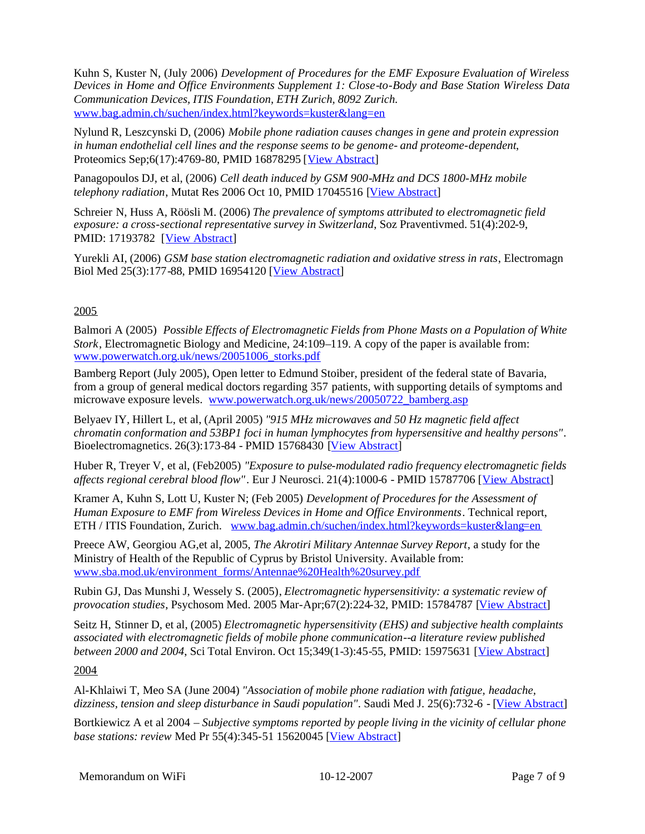Kuhn S, Kuster N, (July 2006) *Development of Procedures for the EMF Exposure Evaluation of Wireless Devices in Home and Office Environments Supplement 1: Close-to-Body and Base Station Wireless Data Communication Devices, ITIS Foundation, ETH Zurich, 8092 Zurich*. www.bag.admin.ch/suchen/index.html?keywords=kuster&lang=en

Nylund R, Leszcynski D, (2006) *Mobile phone radiation causes changes in gene and protein expression in human endothelial cell lines and the response seems to be genome- and proteome-dependent*, Proteomics Sep;6(17):4769-80, PMID 16878295 [[View Abstract\]](http://www.ncbi.nlm.nih.gov/sites/entrez?cmd=Retrieve&db=pubmed&dopt=Abstract&list_uids=16878295)

Panagopoulos DJ, et al, (2006) *Cell death induced by GSM 900-MHz and DCS 1800-MHz mobile telephony radiation*, Mutat Res 2006 Oct 10, PMID 17045516 [[View Abstract\]](http://www.ncbi.nlm.nih.gov/entrez/query.fcgi?db=pubmed&cmd=Retrieve&dopt=Abstract&list_uids=17045516)

Schreier N, Huss A, Röösli M. (2006) *The prevalence of symptoms attributed to electromagnetic field exposure: a cross-sectional representative survey in Switzerland*, Soz Praventivmed. 51(4):202-9, PMID: 17193782 [[View Abstract\]](http://www.ncbi.nlm.nih.gov/entrez/query.fcgi?db=pubmed&cmd=Retrieve&dopt=Abstract&list_uids=17193782)

Yurekli AI, (2006) *GSM base station electromagnetic radiation and oxidative stress in rats*, Electromagn Biol Med 25(3):177-88, PMID 16954120[[View Abstract\]](http://www.ncbi.nlm.nih.gov/sites/entrez?cmd=Retrieve&db=pubmed&dopt=Abstract&list_uids=16954120)

# 2005

Balmori A (2005) *Possible Effects of Electromagnetic Fields from Phone Masts on a Population of White Stork*, Electromagnetic Biology and Medicine, 24:109–119. A copy of the paper is available from: [www.powerwatch.org.uk/news/20051006\\_storks.pdf](http://www.powerwatch.org.uk/news/20051006_storks.pdf)

Bamberg Report (July 2005), Open letter to Edmund Stoiber, president of the federal state of Bavaria, from a group of general medical doctors regarding 357 patients, with supporting details of symptoms and microwave exposure levels. [www.powerwatch.org.uk/news/20050722\\_bamberg.asp](http://www.powerwatch.org.uk/news/20050722_bamberg.asp)

Belyaev IY, Hillert L, et al, (April 2005) *"915 MHz microwaves and 50 Hz magnetic field affect chromatin conformation and 53BP1 foci in human lymphocytes from hypersensitive and healthy persons"*. Bioelectromagnetics. 26(3):173-84 - PMID 15768430 [[View Abstract\]](http://www.ncbi.nlm.nih.gov/entrez/query.fcgi?db=pubmed&cmd=Retrieve&dopt=Abstract&list_uids=15768430)

Huber R, Treyer V, et al, (Feb2005) *"Exposure to pulse-modulated radio frequency electromagnetic fields affects regional cerebral blood flow"*. Eur J Neurosci. 21(4):1000-6 - PMID 15787706 [[View Abstract\]](http://www.ncbi.nlm.nih.gov/entrez/query.fcgi?db=pubmed&cmd=Retrieve&dopt=Abstract&list_uids=15787706)

Kramer A, Kuhn S, Lott U, Kuster N; (Feb 2005) *Development of Procedures for the Assessment of Human Exposure to EMF from Wireless Devices in Home and Office Environments*. Technical report, ETH / ITIS Foundation, Zurich. [www.bag.admin.ch/suchen/index.html?keywords=kuster&lang=en](http://www.bag.admin.ch/suchen/index.html?keywords=kuster&lang=en)

Preece AW, Georgiou AG,et al, 2005, *The Akrotiri Military Antennae Survey Report*, a study for the Ministry of Health of the Republic of Cyprus by Bristol University. Available from: [www.sba.mod.uk/environment\\_forms/Antennae%20Health%20survey.pdf](http://www.sba.mod.uk/environment_forms/Antennae Health survey.pdf)

Rubin GJ, Das Munshi J, Wessely S. (2005), *Electromagnetic hypersensitivity: a systematic review of provocation studies*, Psychosom Med. 2005 Mar-Apr;67(2):224-32, PMID: 15784787 [[View Abstract\]](http://www.ncbi.nlm.nih.gov/entrez/query.fcgi?db=pubmed&cmd=Retrieve&dopt=Abstract&list_uids=15784787)

Seitz H, Stinner D, et al, (2005) *Electromagnetic hypersensitivity (EHS) and subjective health complaints associated with electromagnetic fields of mobile phone communication--a literature review published between 2000 and 2004*, Sci Total Environ. Oct 15;349(1-3):45-55, PMID: 15975631 [[View Abstract\]](http://www.ncbi.nlm.nih.gov/entrez/query.fcgi?db=pubmed&cmd=Retrieve&dopt=Abstract&list_uids=15975631)

### 2004

Al-Khlaiwi T, Meo SA (June 2004) *"Association of mobile phone radiation with fatigue, headache, dizziness, tension and sleep disturbance in Saudi population"*. Saudi Med J. 25(6):732-6 - [[View Abstract\]](http://www.ncbi.nlm.nih.gov/entrez/query.fcgi?db=pubmed&cmd=Retrieve&dopt=Abstract&list_uids=15195201)

Bortkiewicz A et al 2004 – *Subjective symptoms reported by people living in the vicinity of cellular phone basestations: review Med Pr 55(4):345-51 15620045 [[View Abstract\]](http://www.ncbi.nlm.nih.gov/sites/entrez?Db=pubmed&Cmd=ShowDetailView&TermToSearch=15620045)*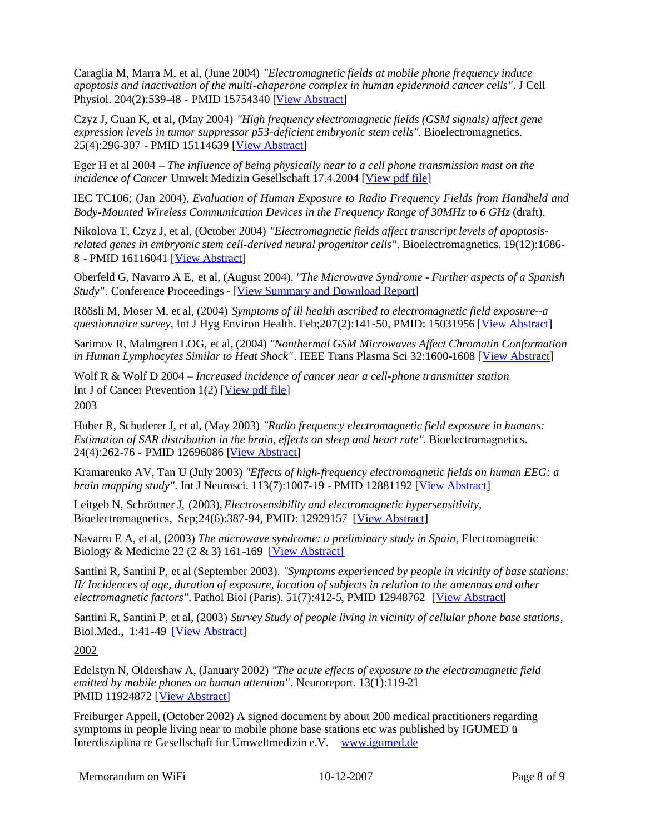Caraglia M, Marra M, et al, (June 2004) *"Electromagnetic fields at mobile phone frequency induce apoptosis and inactivation of the multi-chaperone complex in human epidermoid cancer cells"*. J Cell Physiol. 204(2):539-48 - PMID 15754340 [\[View Abstract\]](http://www.ncbi.nlm.nih.gov/entrez/query.fcgi?db=pubmed&cmd=Retrieve&dopt=Abstract&list_uids=15754340)

Czyz J, Guan K, et al, (May 2004) *"High frequency electromagnetic fields (GSM signals) affect gene expression levels in tumor suppressor p53-deficient embryonic stem cells"*. Bioelectromagnetics. 25(4):296-307 - PMID 15114639[[View Abstract\]](http://www.ncbi.nlm.nih.gov/entrez/query.fcgi?db=pubmed&cmd=Retrieve&dopt=Abstract&list_uids=15114639)

Eger H et al 2004 – *The influence of being physically near to a cell phone transmission mast on the incidence of Cancer* Umwelt Medizin Gesellschaft 17.4.2004 [\[View pdf file\]](http://www.powerwatch.org.uk/news/20041118_naila.pdf)

IEC TC106; (Jan 2004), *Evaluation of Human Exposure to Radio Frequency Fields from Handheld and Body-Mounted Wireless Communication Devices in the Frequency Range of 30MHz to 6 GHz* (draft).

Nikolova T, Czyz J, et al, (October 2004) *"Electromagnetic fields affect transcript levels of apoptosisrelated genes in embryonic stem cell-derived neural progenitor cells"*. Bioelectromagnetics. 19(12):1686- 8 - PMID 16116041[[View Abstract\]](http://www.ncbi.nlm.nih.gov/entrez/query.fcgi?db=pubmed&cmd=Retrieve&dopt=Abstract&list_uids=16116041)

Oberfeld G, Navarro A E, et al, (August 2004). *"The Microwave Syndrome - Further aspects of a Spanish Study"*. Conference Proceedings - [[View Summary and Download Report\]](http://www.powerwatch.org.uk/news/20040809_spain.asp)

Röösli M, Moser M, et al, (2004) *Symptoms of ill health ascribed to electromagnetic field exposure--a questionnaire survey*, Int J Hyg Environ Health. Feb;207(2):141-50, PMID: 15031956 [[View Abstract\]](http://www.ncbi.nlm.nih.gov/entrez/query.fcgi?db=pubmed&cmd=Retrieve&dopt=Abstract&list_uids=15031956)

Sarimov R, Malmgren LOG, et al, (2004) *"Nonthermal GSM Microwaves Affect Chromatin Conformation in Human Lymphocytes Similar to Heat Shock"*. IEEE Trans Plasma Sci 32:1600-1608[[View Abstract\]](http://www.emf-portal.de/viewer.php?sid=f7b8ff4a67c918b19266545a39fb7ce6&sform=1&aid=13460&l=e)

Wolf R & Wolf D 2004 – *Increased incidence of cancer near a cell-phone transmitter station* IntJ of Cancer Prevention  $1(2)$  [[View pdf file\]](http://www.powerwatch.org.uk/news/20050207_israel.pdf) 2003

Huber R, Schuderer J, et al, (May 2003) *"Radio frequency electromagnetic field exposure in humans: Estimation of SAR distribution in the brain, effects on sleep and heart rate"*. Bioelectromagnetics. 24(4):262-76 - PMID 12696086[[View Abstract\]](http://www.ncbi.nlm.nih.gov/entrez/query.fcgi?db=pubmed&cmd=Retrieve&dopt=Abstract&list_uids=12696086)

Kramarenko AV, Tan U (July 2003) *"Effects of high-frequency electromagnetic fields on human EEG: a brainmapping study"*. Int J Neurosci. 113(7):1007-19 - PMID 12881192 [[View Abstract\]](http://www.ncbi.nlm.nih.gov/entrez/query.fcgi?db=pubmed&cmd=Retrieve&dopt=Abstract&list_uids=12881192)

Leitgeb N, Schröttner J, (2003), *Electrosensibility and electromagnetic hypersensitivity,* Bioelectromagnetics, Sep;24(6):387-94, PMID: 12929157 [[View Abstract\]](http://www.ncbi.nlm.nih.gov/entrez/query.fcgi?db=pubmed&cmd=Retrieve&dopt=Abstract&list_uids=12929157)

Navarro E A, et al, (2003) *The microwave syndrome: a preliminary study in Spain*, Electromagnetic Biology & Medicine 22 (2 & 3) 161-169 [\[View Abstract\]](http://www.informaworld.com/smpp/content~content=a713628989~db=all~order=page)

Santini R, Santini P, et al (September 2003). *"Symptoms experienced by people in vicinity of base stations: II/ Incidences of age, duration of exposure, location of subjects in relation to the antennas and other electromagnetic factors"*. Pathol Biol (Paris). 51(7):412-5, PMID 12948762 [[View Abstract\]](http://www.ncbi.nlm.nih.gov/sites/entrez?cmd=Retrieve&db=pubmed&dopt=Abstract&list_uids=12948762)

Santini R, Santini P, et al, (2003) *Survey Study of people living in vicinity of cellular phone base stations*, Biol.Med., 1:41-49 [\[View Abstract\]](http://www.emf-portal.de/viewer.php?sid=b9fdfbdbf6a0be2a3607c535890955c6&sform=1&aid=10062&l=e)

2002

Edelstyn N, Oldershaw A, (January 2002) *"The acute effects of exposure to the electromagnetic field emitted by mobile phones on human attention"*. Neuroreport. 13(1):119-21 PMID 11924872[[View Abstract\]](http://www.ncbi.nlm.nih.gov/entrez/query.fcgi?db=pubmed&cmd=Retrieve&dopt=Abstract&list_uids=11924872)

Freiburger Appell, (October 2002) A signed document by about 200 medical practitioners regarding symptoms in people living near to mobile phone base stations etc was published by IGUMED ü Interdisziplina re Gesellschaft fur Umweltmedizin e.V. [www.igumed.de](http://www.igumed.de/)